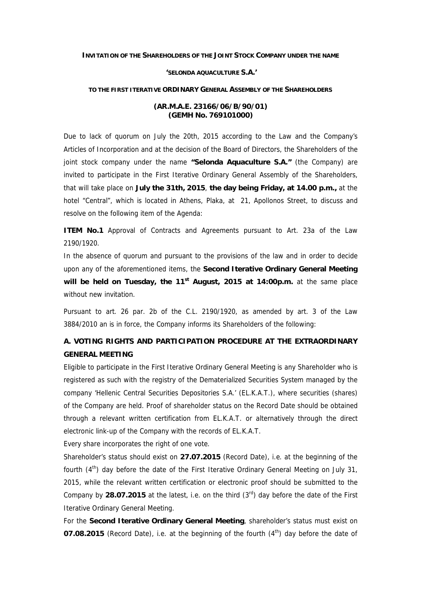**INVITATION OF THE SHAREHOLDERS OF THE JOINT STOCK COMPANY UNDER THE NAME**

#### **'SELONDA AQUACULTURE S.A.'**

## **TO THE FIRST ITERATIVE ORDINARY GENERAL ASSEMBLY OF THE SHAREHOLDERS**

# **(AR.M.A.E. 23166/06/B/90/01) (GEMH No. 769101000)**

Due to lack of quorum on July the 20th, 2015 according to the Law and the Company's Articles of Incorporation and at the decision of the Board of Directors, the Shareholders of the joint stock company under the name **"Selonda Aquaculture S.A."** (the Company) are invited to participate in the First Iterative Ordinary General Assembly of the Shareholders, that will take place on **July the 31th, 2015**, **the day being Friday, at 14.00 p.m.,** at the hotel "Central", which is located in Athens, Plaka, at 21, Apollonos Street, to discuss and resolve on the following item of the Agenda:

**ITEM No.1** Approval of Contracts and Agreements pursuant to Art. 23a of the Law 2190/1920.

In the absence of quorum and pursuant to the provisions of the law and in order to decide upon any of the aforementioned items, the **Second Iterative Ordinary General Meeting will be held on Tuesday, the 11st August, 2015 at 14:00p.m.** at the same place without new invitation.

Pursuant to art. 26 par. 2b of the C.L. 2190/1920, as amended by art. 3 of the Law 3884/2010 an is in force, the Company informs its Shareholders of the following:

# **A. VOTING RIGHTS AND PARTICIPATION PROCEDURE AT THE EXTRAORDINARY GENERAL MEETING**

Eligible to participate in the First Iterative Ordinary General Meeting is any Shareholder who is registered as such with the registry of the Dematerialized Securities System managed by the company 'Hellenic Central Securities Depositories S.A.' (EL.K.A.T.), where securities (shares) of the Company are held. Proof of shareholder status on the Record Date should be obtained through a relevant written certification from EL.K.A.T. or alternatively through the direct electronic link-up of the Company with the records of EL.K.A.T.

Every share incorporates the right of one vote.

Shareholder's status should exist on **27.07.2015** (Record Date), i.e. at the beginning of the fourth  $(4<sup>th</sup>)$  day before the date of the First Iterative Ordinary General Meeting on July 31, 2015, while the relevant written certification or electronic proof should be submitted to the Company by 28.07.2015 at the latest, i.e. on the third (3<sup>rd</sup>) day before the date of the First Iterative Ordinary General Meeting.

For the **Second Iterative Ordinary General Meeting**, shareholder's status must exist on **07.08.2015** (Record Date), i.e. at the beginning of the fourth (4<sup>th</sup>) day before the date of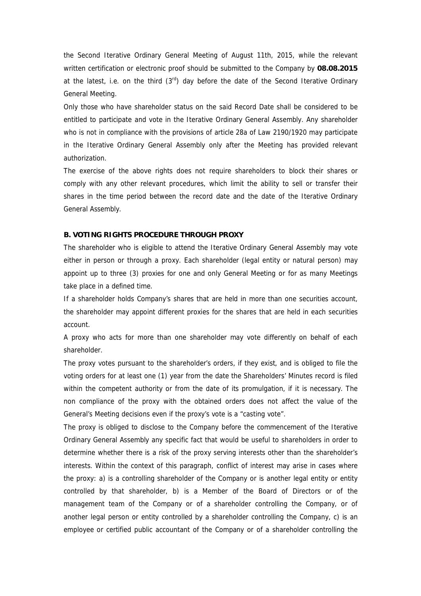the Second Iterative Ordinary General Meeting of August 11th, 2015, while the relevant written certification or electronic proof should be submitted to the Company by **08.08.2015** at the latest, i.e. on the third  $(3<sup>rd</sup>)$  day before the date of the Second Iterative Ordinary General Meeting.

Only those who have shareholder status on the said Record Date shall be considered to be entitled to participate and vote in the Iterative Ordinary General Assembly. Any shareholder who is not in compliance with the provisions of article 28a of Law 2190/1920 may participate in the Iterative Ordinary General Assembly only after the Meeting has provided relevant authorization.

The exercise of the above rights does not require shareholders to block their shares or comply with any other relevant procedures, which limit the ability to sell or transfer their shares in the time period between the record date and the date of the Iterative Ordinary General Assembly.

### **B. VOTING RIGHTS PROCEDURE THROUGH PROXY**

The shareholder who is eligible to attend the Iterative Ordinary General Assembly may vote either in person or through a proxy. Each shareholder (legal entity or natural person) may appoint up to three (3) proxies for one and only General Meeting or for as many Meetings take place in a defined time.

If a shareholder holds Company's shares that are held in more than one securities account, the shareholder may appoint different proxies for the shares that are held in each securities account.

A proxy who acts for more than one shareholder may vote differently on behalf of each shareholder.

The proxy votes pursuant to the shareholder's orders, if they exist, and is obliged to file the voting orders for at least one (1) year from the date the Shareholders' Minutes record is filed within the competent authority or from the date of its promulgation, if it is necessary. The non compliance of the proxy with the obtained orders does not affect the value of the General's Meeting decisions even if the proxy's vote is a "casting vote".

The proxy is obliged to disclose to the Company before the commencement of the Iterative Ordinary General Assembly any specific fact that would be useful to shareholders in order to determine whether there is a risk of the proxy serving interests other than the shareholder's interests. Within the context of this paragraph, conflict of interest may arise in cases where the proxy: a) is a controlling shareholder of the Company or is another legal entity or entity controlled by that shareholder, b) is a Member of the Board of Directors or of the management team of the Company or of a shareholder controlling the Company, or of another legal person or entity controlled by a shareholder controlling the Company, c) is an employee or certified public accountant of the Company or of a shareholder controlling the